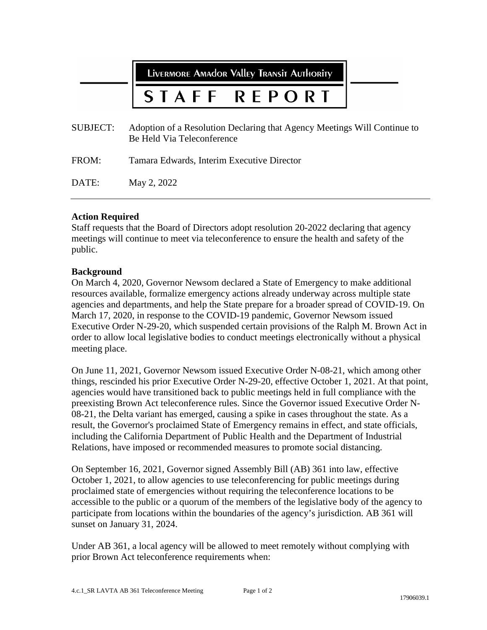LIVERMORE AMAdor Valley Transit Authority

#### STAFF  $R$  F P O

| SUBJECT: | Adoption of a Resolution Declaring that Agency Meetings Will Continue to<br>Be Held Via Teleconference |
|----------|--------------------------------------------------------------------------------------------------------|
| FROM:    | Tamara Edwards, Interim Executive Director                                                             |
| DATE:    | May 2, 2022                                                                                            |

# **Action Required**

Staff requests that the Board of Directors adopt resolution 20-2022 declaring that agency meetings will continue to meet via teleconference to ensure the health and safety of the public.

# **Background**

On March 4, 2020, Governor Newsom declared a State of Emergency to make additional resources available, formalize emergency actions already underway across multiple state agencies and departments, and help the State prepare for a broader spread of COVID-19. On March 17, 2020, in response to the COVID-19 pandemic, Governor Newsom issued Executive Order N-29-20, which suspended certain provisions of the Ralph M. Brown Act in order to allow local legislative bodies to conduct meetings electronically without a physical meeting place.

On June 11, 2021, Governor Newsom issued Executive Order N-08-21, which among other things, rescinded his prior Executive Order N-29-20, effective October 1, 2021. At that point, agencies would have transitioned back to public meetings held in full compliance with the preexisting Brown Act teleconference rules. Since the Governor issued Executive Order N-08-21, the Delta variant has emerged, causing a spike in cases throughout the state. As a result, the Governor's proclaimed State of Emergency remains in effect, and state officials, including the California Department of Public Health and the Department of Industrial Relations, have imposed or recommended measures to promote social distancing.

On September 16, 2021, Governor signed Assembly Bill (AB) 361 into law, effective October 1, 2021, to allow agencies to use teleconferencing for public meetings during proclaimed state of emergencies without requiring the teleconference locations to be accessible to the public or a quorum of the members of the legislative body of the agency to participate from locations within the boundaries of the agency's jurisdiction. AB 361 will sunset on January 31, 2024.

Under AB 361, a local agency will be allowed to meet remotely without complying with prior Brown Act teleconference requirements when: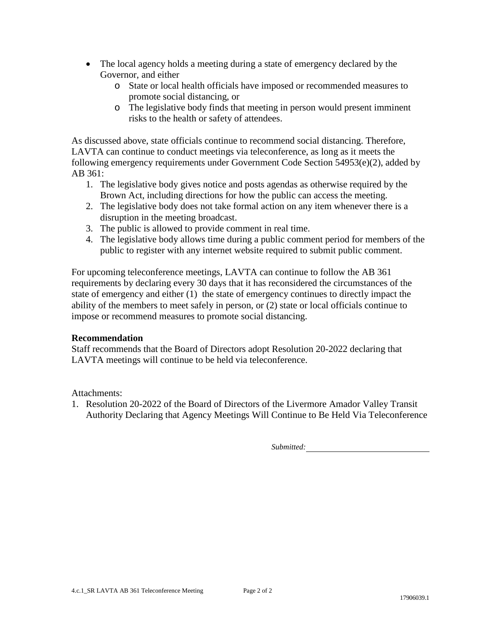- The local agency holds a meeting during a state of emergency declared by the Governor, and either
	- o State or local health officials have imposed or recommended measures to promote social distancing, or
	- o The legislative body finds that meeting in person would present imminent risks to the health or safety of attendees.

As discussed above, state officials continue to recommend social distancing. Therefore, LAVTA can continue to conduct meetings via teleconference, as long as it meets the following emergency requirements under Government Code Section 54953(e)(2), added by AB 361:

- 1. The legislative body gives notice and posts agendas as otherwise required by the Brown Act, including directions for how the public can access the meeting.
- 2. The legislative body does not take formal action on any item whenever there is a disruption in the meeting broadcast.
- 3. The public is allowed to provide comment in real time.
- 4. The legislative body allows time during a public comment period for members of the public to register with any internet website required to submit public comment.

For upcoming teleconference meetings, LAVTA can continue to follow the AB 361 requirements by declaring every 30 days that it has reconsidered the circumstances of the state of emergency and either (1) the state of emergency continues to directly impact the ability of the members to meet safely in person, or (2) state or local officials continue to impose or recommend measures to promote social distancing.

# **Recommendation**

Staff recommends that the Board of Directors adopt Resolution 20-2022 declaring that LAVTA meetings will continue to be held via teleconference.

Attachments:

1. Resolution 20-2022 of the Board of Directors of the Livermore Amador Valley Transit Authority Declaring that Agency Meetings Will Continue to Be Held Via Teleconference

*Submitted:*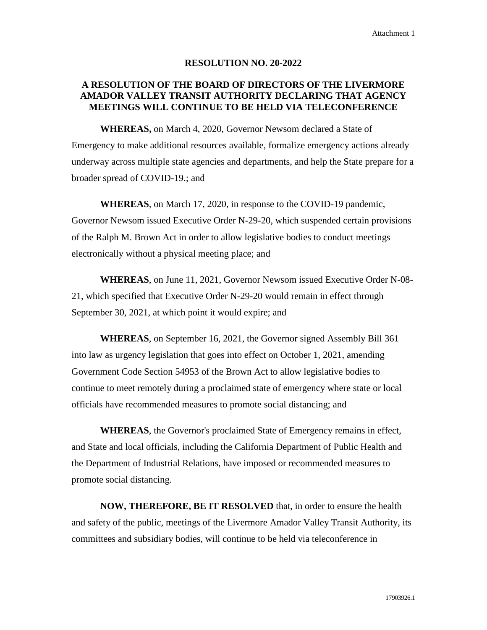#### **RESOLUTION NO. 20-2022**

# **A RESOLUTION OF THE BOARD OF DIRECTORS OF THE LIVERMORE AMADOR VALLEY TRANSIT AUTHORITY DECLARING THAT AGENCY MEETINGS WILL CONTINUE TO BE HELD VIA TELECONFERENCE**

**WHEREAS,** on March 4, 2020, Governor Newsom declared a State of Emergency to make additional resources available, formalize emergency actions already underway across multiple state agencies and departments, and help the State prepare for a broader spread of COVID-19.; and

**WHEREAS**, on March 17, 2020, in response to the COVID-19 pandemic, Governor Newsom issued Executive Order N-29-20, which suspended certain provisions of the Ralph M. Brown Act in order to allow legislative bodies to conduct meetings electronically without a physical meeting place; and

**WHEREAS**, on June 11, 2021, Governor Newsom issued Executive Order N-08- 21, which specified that Executive Order N-29-20 would remain in effect through September 30, 2021, at which point it would expire; and

**WHEREAS**, on September 16, 2021, the Governor signed Assembly Bill 361 into law as urgency legislation that goes into effect on October 1, 2021, amending Government Code Section 54953 of the Brown Act to allow legislative bodies to continue to meet remotely during a proclaimed state of emergency where state or local officials have recommended measures to promote social distancing; and

**WHEREAS**, the Governor's proclaimed State of Emergency remains in effect, and State and local officials, including the California Department of Public Health and the Department of Industrial Relations, have imposed or recommended measures to promote social distancing.

**NOW, THEREFORE, BE IT RESOLVED** that, in order to ensure the health and safety of the public, meetings of the Livermore Amador Valley Transit Authority, its committees and subsidiary bodies, will continue to be held via teleconference in